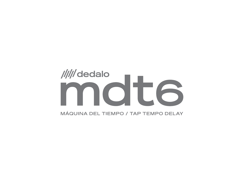# /////dedalo OT (  $\bigcap$  $\Box$ 5 MÁQUINA DEL TIEMPO / TAP TEMPO DELAY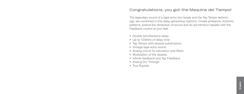## **Congratulations, you got the Maquina del Tiempo!**

The legendary sound of a tape echo two heads and the Tap Tempo technology, are combined in this delay generating machine. Create ambience, rhythmic patterns, extend the dimension of sound and do ad-infinitum repeats with the Feedback control at your feet.

- Double simultaneous delay
- Up to 1200ms of delay time
- Tap Tempo with several subdivisions
- Vintage tape echo sound
- Analog circuit for saturation and filters
- Modulation of the repeats
- Infinite feedback and Tap Feedback
- Analog Dry Through
- True Bypass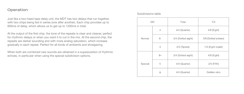## **Operation**

Just like a two-head tape delay unit, the MDT has two delays that run together, with two chips being fed in series (one after another). Each chip provides up to 600ms of delay, which allows us to get up to 1200ms in total.

At the output of the first chip, the tone of the repeats is clear and cleaner, perfect for rhythmic delays or when you want it to cut in the mix. At the second chip, the repeats are darker sounding and with more analog saturation, which increase gradually in each repeat. Perfect for all kinds of ambients and shoegazing.

When both are combined new sounds are obtained in a superposition of rhythmic echoes, in particular when using the special subdivision options.

#### Subdivisions table

| DIV     |      | Total              | T/2                  |
|---------|------|--------------------|----------------------|
| Normal  | 4    | 4/4 (Quarter)      | 4/8 (Eight)          |
|         | 8·   | 3/4 (Dotted eight) | 3/8 (Dotted sixteen) |
|         | 3    | 2/3 (Tiplets)      | 1/3 (Eight triplet)  |
| Special | $8+$ | 3/4 (Dotted eight) | 4/8 (Eight)          |
|         | 5    | 4/4 (Quarter)      | 2/5 (Fifth)          |
|         | φ    | 4/4 (Quarter)      | Golden ratio         |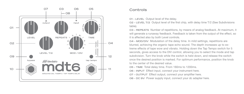

#### **Controls**

**01 - LEVEL** Output level of the delay.

**02 - LEVEL T/2** Output level of the first chip, with delay time T/2 (See Subdivisions table).

**03 - REPEATS** Number of repetitions, by means of analog feedback. At maximum, it will generate a runaway feedback. Feedback is taken from the output of the effect, so it is affected also by both Level controls.

**04 - MOD/DIV** Modulation of the delay time. In mild settings, repetitions are blurred, achieving the organic tape echo sound. The depth increases up to ex treme effects of tape wow and vibrato. Holding down the Tap Tempo switch for 5 seconds, gives access to the DIV control, allowing you to select the mode and tap subdivision. Turn the knob while the switch is held down, and release the switch once the desired position is marked. For optimum performance, position the knob to the center of the desired value.

**05 - TIME** Total delay time. From 160ms to 1200ms.

- **06 INPUT** Effect input, connect your instrument here.
- **07 OUTPUT** Effect output, connect your amplifier here.

**08 - DC 9V** Power supply input, connect your dc adapter here.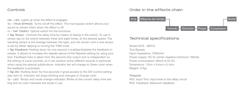#### **Controls**

**09 - LED** Lights up when the effect is engaged.

**10 - TRUE BYPASS** Turns on/off the effect. The true bypass switch allows your sound to remain intact when the effect is off.

**11 - TAP TEMPO** Optical switch for the functions:

*• Tap Tempo:* Controls the delay time by means of taping in the switch. To use it, simply tap on the switch between three and eight times, at the desired speed. The resulting tempo is the average between the taps, and will remain until a new tempo is set by either tapping or turning the TIME knob.

*• Tap Feedback:* Holding down for one second it enables/disables the feedback increase. It allows to increase the repeats above of the Repeats setting by using your foot. Feedback here is taken from the second chip output and is independent on the setting of Level controls, so it can achieve some different sounds in particular when using the special subdivisions. Indicator led will change to Green color when the feedback is activated.

*• Tap Div:* Holding down for five seconds it gives access to the DIV control setting (see item 4). Indicator led stops blinking and changes to Orange color. **12 - LED** Tempo and mode change indicador. Blinks at the current delay time setting and its color indicates the mode in use.

#### **Order in the effects chain**



#### **Technical specifications**

Model 2016 - MDT-6 True Bypass Input impedance: 700Kohm Power supply: DC 9v center negative (minimum 100mA) Power consumption: 80mA at 9v DC Dimensions: 12cm x 9.4cm x 5.4cm Weight: 475gr

#### *Trimpots:*

RV2: Input Trim: Input level to the delay circuit RV3: Feedback: Maximum feedback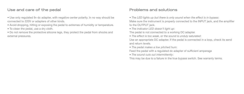# **Use and care of the pedal**

• Use only regulated 9v dc adapter, with negative center polarity. In no way should be connected to 220V or adapters of other kinds.

• Avoid dropping, hitting or exposing the pedal to extremes of humidity or temperature.

• To clean the pedal, use a dry cloth.

• Do not remove the protective silicone legs, they protect the pedal from shocks and external pressures.

# **Problems and solutions**

*• The LED lights up but there is only sound when the effect is in bypass*: Make sure the instrument is properly connected to the INPUT jack, and the amplifier to the OUTPUT jack.

*• The indicator LED doesn't light up*:

The pedal is not connected to a working DC adapter.

*• The effect is too weak, or the sound is unduly saturated*:

Use an appropriate DC adapter. If the pedal is connected in a loop, check its send and return levels.

*• The pedal makes a low pitched hum*:

Feed the pedal with a regulated dc adapter of sufficient amperage

*• The sound cuts out intermittently*:

This may be due to a failure in the true bypass switch. See warranty terms.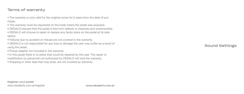# **Terms of warranty**

- The warranty is only valid for the original owner for 2 years from the date of purchase.
- The warranty must be requested on the trade where the pedal was acquired.
- DEDALO ensures that the pedal is free from defects in materials and workmanship.
- DEDALO will choose to repair or replace any faulty piece on the pedal at its sole option.
- Failures due to accident or misuse are not covered in the warranty.
- DEDALO is not responsible for any loss or damage the user may suffer as a result of using the pedal.
- Power adapter not included in the warranty.
- In this pedal there is no piece that could be repaired by the user. The repair or modification by personnel not authorized by DEDALO will void the warranty.
- Shipping or other fees that may arise, are not covered by warranty.

**Sound Settings**

**Register your pedal!** www.dedalofx.com.ar/register **www.dedalofx.com.ar**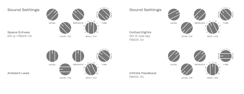# **Sound Settings**

 $\frac{1}{3}$   $\theta$ REPEATS \ LEVEL TIME LEVEL T/2 MOD / DIV

# **Sound Settings**

**Dotted Eights** DIV: 8• (Use tap) FBACK: On

**Infinite Feedback** FBACK: On





**Ambient Lead**

**Space Echoes** DIV: φ / FBACK: On

LEVEL T/2

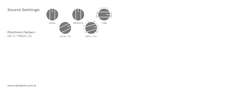